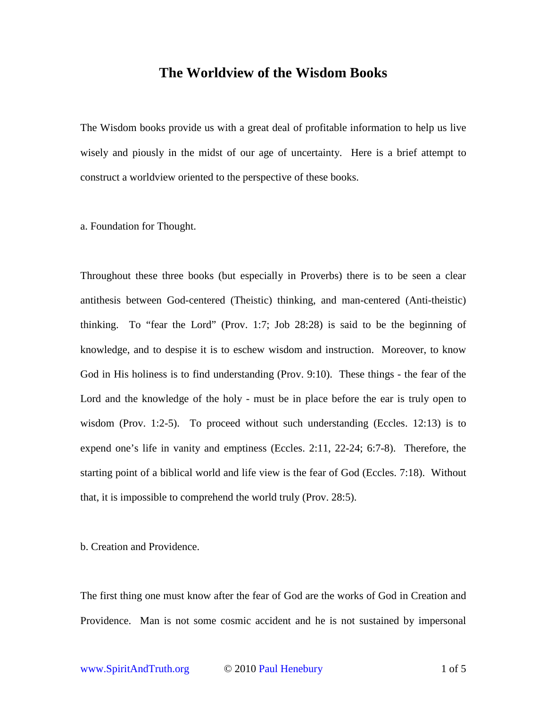## **The Worldview of the Wisdom Books**

The Wisdom books provide us with a great deal of profitable information to help us live wisely and piously in the midst of our age of uncertainty. Here is a brief attempt to construct a worldview oriented to the perspective of these books.

## a. Foundation for Thought.

Throughout these three books (but especially in Proverbs) there is to be seen a clear antithesis between God-centered (Theistic) thinking, and man-centered (Anti-theistic) thinking. To "fear the Lord" (Prov. 1:7; Job 28:28) is said to be the beginning of knowledge, and to despise it is to eschew wisdom and instruction. Moreover, to know God in His holiness is to find understanding (Prov. 9:10). These things - the fear of the Lord and the knowledge of the holy - must be in place before the ear is truly open to wisdom (Prov. 1:2-5). To proceed without such understanding (Eccles. 12:13) is to expend one's life in vanity and emptiness (Eccles. 2:11, 22-24; 6:7-8). Therefore, the starting point of a biblical world and life view is the fear of God (Eccles. 7:18). Without that, it is impossible to comprehend the world truly (Prov. 28:5).

b. Creation and Providence.

The first thing one must know after the fear of God are the works of God in Creation and Providence. Man is not some cosmic accident and he is not sustained by impersonal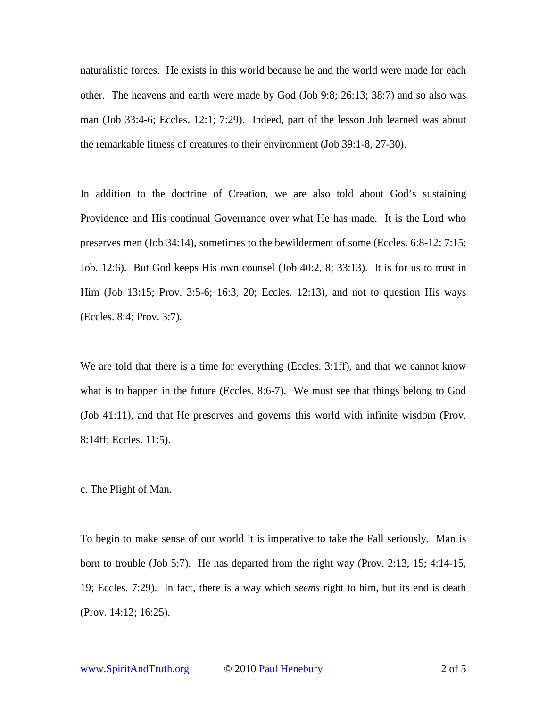naturalistic forces. He exists in this world because he and the world were made for each other. The heavens and earth were made by God (Job 9:8; 26:13; 38:7) and so also was man (Job 33:4-6; Eccles. 12:1; 7:29). Indeed, part of the lesson Job learned was about the remarkable fitness of creatures to their environment (Job 39:1-8, 27-30).

In addition to the doctrine of Creation, we are also told about God's sustaining Providence and His continual Governance over what He has made. It is the Lord who preserves men (Job 34:14), sometimes to the bewilderment of some (Eccles. 6:8-12; 7:15; Job. 12:6). But God keeps His own counsel (Job 40:2, 8; 33:13). It is for us to trust in Him (Job 13:15; Prov. 3:5-6; 16:3, 20; Eccles. 12:13), and not to question His ways (Eccles. 8:4; Prov. 3:7).

We are told that there is a time for everything (Eccles. 3:1ff), and that we cannot know what is to happen in the future (Eccles. 8:6-7). We must see that things belong to God (Job 41:11), and that He preserves and governs this world with infinite wisdom (Prov. 8:14ff; Eccles. 11:5).

c. The Plight of Man.

To begin to make sense of our world it is imperative to take the Fall seriously. Man is born to trouble (Job 5:7). He has departed from the right way (Prov. 2:13, 15; 4:14-15, 19; Eccles. 7:29). In fact, there is a way which *seems* right to him, but its end is death (Prov. 14:12; 16:25).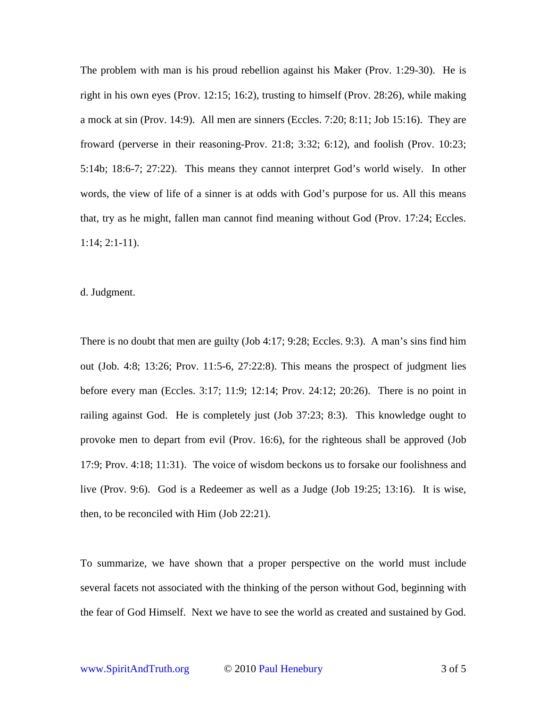The problem with man is his proud rebellion against his Maker (Prov. 1:29-30). He is right in his own eyes (Prov. 12:15; 16:2), trusting to himself (Prov. 28:26), while making a mock at sin (Prov. 14:9). All men are sinners (Eccles. 7:20; 8:11; Job 15:16). They are froward (perverse in their reasoning-Prov. 21:8; 3:32; 6:12), and foolish (Prov. 10:23; 5:14b; 18:6-7; 27:22). This means they cannot interpret God's world wisely. In other words, the view of life of a sinner is at odds with God's purpose for us. All this means that, try as he might, fallen man cannot find meaning without God (Prov. 17:24; Eccles. 1:14; 2:1-11).

d. Judgment.

There is no doubt that men are guilty (Job 4:17; 9:28; Eccles. 9:3). A man's sins find him out (Job. 4:8; 13:26; Prov. 11:5-6, 27:22:8). This means the prospect of judgment lies before every man (Eccles. 3:17; 11:9; 12:14; Prov. 24:12; 20:26). There is no point in railing against God. He is completely just (Job 37:23; 8:3). This knowledge ought to provoke men to depart from evil (Prov. 16:6), for the righteous shall be approved (Job 17:9; Prov. 4:18; 11:31). The voice of wisdom beckons us to forsake our foolishness and live (Prov. 9:6). God is a Redeemer as well as a Judge (Job 19:25; 13:16). It is wise, then, to be reconciled with Him (Job 22:21).

To summarize, we have shown that a proper perspective on the world must include several facets not associated with the thinking of the person without God, beginning with the fear of God Himself. Next we have to see the world as created and sustained by God.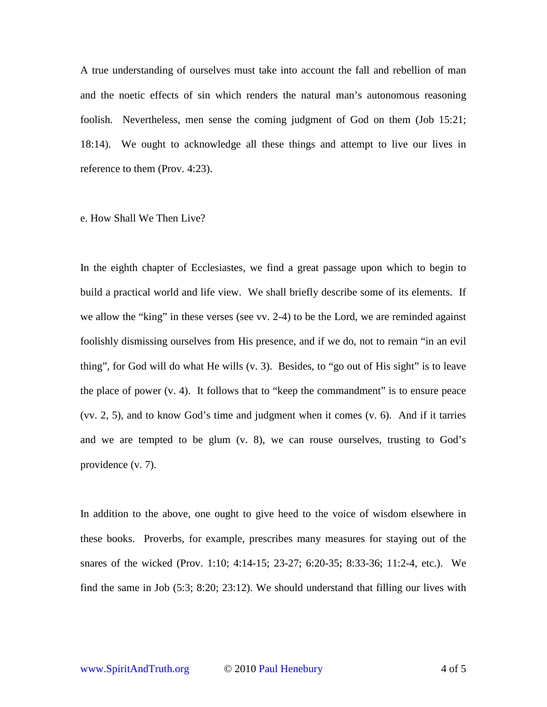A true understanding of ourselves must take into account the fall and rebellion of man and the noetic effects of sin which renders the natural man's autonomous reasoning foolish. Nevertheless, men sense the coming judgment of God on them (Job 15:21; 18:14). We ought to acknowledge all these things and attempt to live our lives in reference to them (Prov. 4:23).

## e. How Shall We Then Live?

In the eighth chapter of Ecclesiastes, we find a great passage upon which to begin to build a practical world and life view. We shall briefly describe some of its elements. If we allow the "king" in these verses (see vv. 2-4) to be the Lord, we are reminded against foolishly dismissing ourselves from His presence, and if we do, not to remain "in an evil thing", for God will do what He wills (v. 3). Besides, to "go out of His sight" is to leave the place of power (v. 4). It follows that to "keep the commandment" is to ensure peace (vv. 2, 5), and to know God's time and judgment when it comes (v. 6). And if it tarries and we are tempted to be glum (v. 8), we can rouse ourselves, trusting to God's providence (v. 7).

In addition to the above, one ought to give heed to the voice of wisdom elsewhere in these books. Proverbs, for example, prescribes many measures for staying out of the snares of the wicked (Prov. 1:10; 4:14-15; 23-27; 6:20-35; 8:33-36; 11:2-4, etc.). We find the same in Job (5:3; 8:20; 23:12). We should understand that filling our lives with